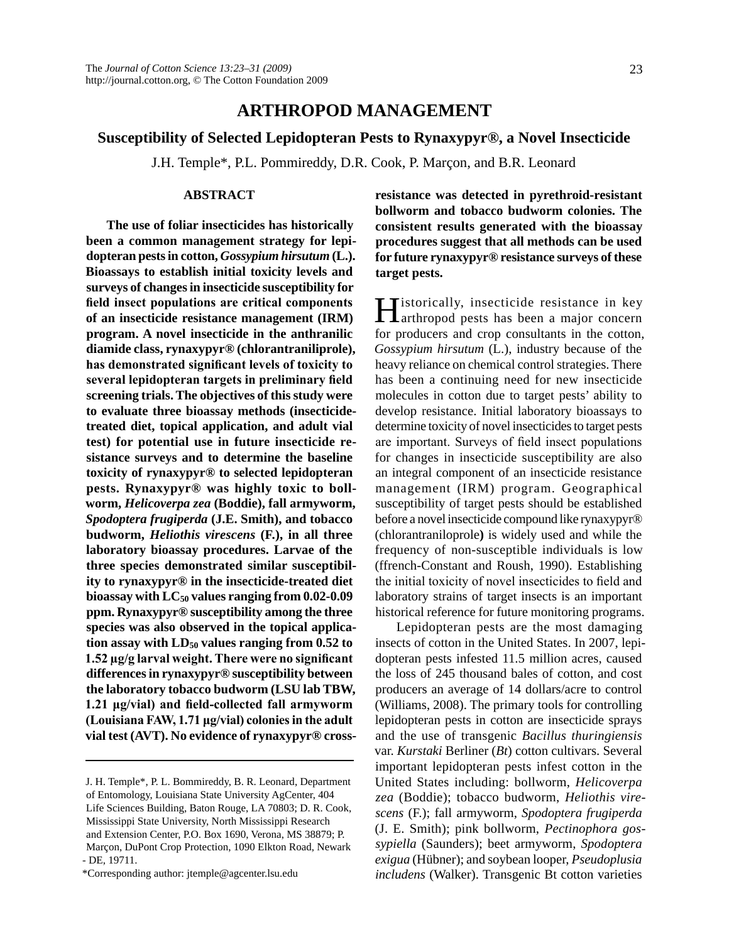# **Arthropod Management**

## **Susceptibility of Selected Lepidopteran Pests to Rynaxypyr®, a Novel Insecticide**

J.H. Temple\*, P.L. Pommireddy, D.R. Cook, P. Marçon, and B.R. Leonard

## **Abstract**

**The use of foliar insecticides has historically been a common management strategy for lepidopteran pests in cotton,** *Gossypium hirsutum* **(L.). Bioassays to establish initial toxicity levels and surveys of changes in insecticide susceptibility for field insect populations are critical components of an insecticide resistance management (IRM) program. A novel insecticide in the anthranilic diamide class, rynaxypyr® (chlorantraniliprole), has demonstrated significant levels of toxicity to several lepidopteran targets in preliminary field screening trials. The objectives of this study were to evaluate three bioassay methods (insecticidetreated diet, topical application, and adult vial test) for potential use in future insecticide resistance surveys and to determine the baseline toxicity of rynaxypyr® to selected lepidopteran pests. Rynaxypyr® was highly toxic to bollworm,** *Helicoverpa zea* **(Boddie), fall armyworm,**  *Spodoptera frugiperda* **(J.E. Smith), and tobacco budworm,** *Heliothis virescens* **(F.), in all three laboratory bioassay procedures. Larvae of the three species demonstrated similar susceptibility to rynaxypyr® in the insecticide-treated diet bioassay with LC50 values ranging from 0.02-0.09 ppm. Rynaxypyr® susceptibility among the three species was also observed in the topical applica**tion assay with LD<sub>50</sub> values ranging from 0.52 to **1.52 µg/g larval weight. There were no significant differences in rynaxypyr® susceptibility between the laboratory tobacco budworm (LSU lab TBW, 1.21 μg/vial) and field-collected fall armyworm (Louisiana FAW, 1.71 μg/vial) colonies in the adult vial test (AVT). No evidence of rynaxypyr® cross-** **resistance was detected in pyrethroid-resistant bollworm and tobacco budworm colonies. The consistent results generated with the bioassay procedures suggest that all methods can be used for future rynaxypyr® resistance surveys of these target pests.**

Historically, insecticide resistance in key arthropod pests has been a major concern for producers and crop consultants in the cotton, *Gossypium hirsutum* (L.), industry because of the heavy reliance on chemical control strategies. There has been a continuing need for new insecticide molecules in cotton due to target pests' ability to develop resistance. Initial laboratory bioassays to determine toxicity of novel insecticides to target pests are important. Surveys of field insect populations for changes in insecticide susceptibility are also an integral component of an insecticide resistance management (IRM) program. Geographical susceptibility of target pests should be established before a novel insecticide compound like rynaxypyr® (chlorantraniloprole**)** is widely used and while the frequency of non-susceptible individuals is low (ffrench-Constant and Roush, 1990). Establishing the initial toxicity of novel insecticides to field and laboratory strains of target insects is an important historical reference for future monitoring programs.

Lepidopteran pests are the most damaging insects of cotton in the United States. In 2007, lepidopteran pests infested 11.5 million acres, caused the loss of 245 thousand bales of cotton, and cost producers an average of 14 dollars/acre to control (Williams, 2008). The primary tools for controlling lepidopteran pests in cotton are insecticide sprays and the use of transgenic *Bacillus thuringiensis* var. *Kurstaki* Berliner (*Bt*) cotton cultivars. Several important lepidopteran pests infest cotton in the United States including: bollworm, *Helicoverpa zea* (Boddie); tobacco budworm, *Heliothis virescens* (F.); fall armyworm, *Spodoptera frugiperda*  (J. E. Smith); pink bollworm, *Pectinophora gossypiella* (Saunders); beet armyworm, *Spodoptera exigua* (Hübner); and soybean looper, *Pseudoplusia includens* (Walker). Transgenic Bt cotton varieties

J. H. Temple\*, P. L. Bommireddy, B. R. Leonard, Department of Entomology, Louisiana State University AgCenter, 404 Life Sciences Building, Baton Rouge, LA 70803; D. R. Cook, Mississippi State University, North Mississippi Research and Extension Center, P.O. Box 1690, Verona, MS 38879; P. Marçon, DuPont Crop Protection, 1090 Elkton Road, Newark - DE, 19711.

<sup>\*</sup>Corresponding author: jtemple@agcenter.lsu.edu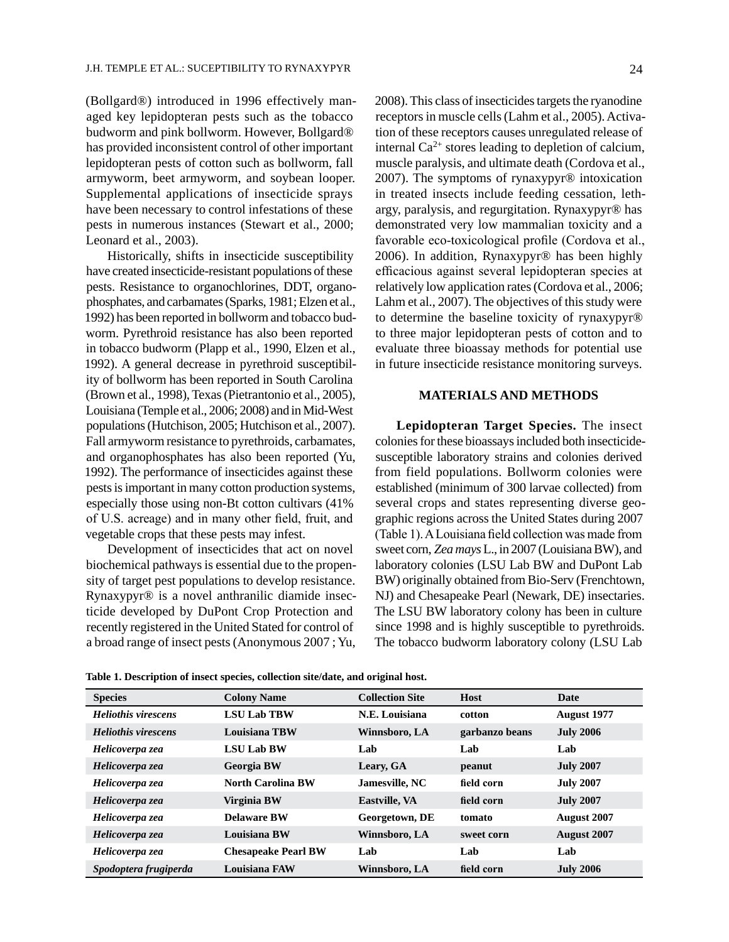(Bollgard®) introduced in 1996 effectively managed key lepidopteran pests such as the tobacco budworm and pink bollworm. However, Bollgard® has provided inconsistent control of other important lepidopteran pests of cotton such as bollworm, fall armyworm, beet armyworm, and soybean looper. Supplemental applications of insecticide sprays have been necessary to control infestations of these pests in numerous instances (Stewart et al., 2000; Leonard et al., 2003).

Historically, shifts in insecticide susceptibility have created insecticide-resistant populations of these pests. Resistance to organochlorines, DDT, organophosphates, and carbamates (Sparks, 1981; Elzen et al., 1992) has been reported in bollworm and tobacco budworm. Pyrethroid resistance has also been reported in tobacco budworm (Plapp et al., 1990, Elzen et al., 1992). A general decrease in pyrethroid susceptibility of bollworm has been reported in South Carolina (Brown et al., 1998), Texas (Pietrantonio et al., 2005), Louisiana (Temple et al., 2006; 2008) and in Mid-West populations (Hutchison, 2005; Hutchison et al., 2007). Fall armyworm resistance to pyrethroids, carbamates, and organophosphates has also been reported (Yu, 1992). The performance of insecticides against these pests is important in many cotton production systems, especially those using non-Bt cotton cultivars (41% of U.S. acreage) and in many other field, fruit, and vegetable crops that these pests may infest.

Development of insecticides that act on novel biochemical pathways is essential due to the propensity of target pest populations to develop resistance. Rynaxypyr® is a novel anthranilic diamide insecticide developed by DuPont Crop Protection and recently registered in the United Stated for control of a broad range of insect pests (Anonymous 2007 ; Yu,

2008). This class of insecticides targets the ryanodine receptors in muscle cells (Lahm et al., 2005). Activation of these receptors causes unregulated release of internal  $Ca^{2+}$  stores leading to depletion of calcium, muscle paralysis, and ultimate death (Cordova et al., 2007). The symptoms of rynaxypyr® intoxication in treated insects include feeding cessation, lethargy, paralysis, and regurgitation. Rynaxypyr® has demonstrated very low mammalian toxicity and a favorable eco-toxicological profile (Cordova et al., 2006). In addition, Rynaxypyr® has been highly efficacious against several lepidopteran species at relatively low application rates (Cordova et al., 2006; Lahm et al., 2007). The objectives of this study were to determine the baseline toxicity of rynaxypyr® to three major lepidopteran pests of cotton and to evaluate three bioassay methods for potential use in future insecticide resistance monitoring surveys.

#### **Materials and Methods**

**Lepidopteran Target Species.** The insect colonies for these bioassays included both insecticidesusceptible laboratory strains and colonies derived from field populations. Bollworm colonies were established (minimum of 300 larvae collected) from several crops and states representing diverse geographic regions across the United States during 2007 (Table 1). A Louisiana field collection was made from sweet corn, *Zea mays* L., in 2007 (Louisiana BW), and laboratory colonies (LSU Lab BW and DuPont Lab BW) originally obtained from Bio-Serv (Frenchtown, NJ) and Chesapeake Pearl (Newark, DE) insectaries. The LSU BW laboratory colony has been in culture since 1998 and is highly susceptible to pyrethroids. The tobacco budworm laboratory colony (LSU Lab

**Table 1. Description of insect species, collection site/date, and original host.**

| <b>Species</b>             | <b>Colony Name</b>         | <b>Collection Site</b> | <b>Host</b>    | Date               |
|----------------------------|----------------------------|------------------------|----------------|--------------------|
| <b>Heliothis virescens</b> | <b>LSU Lab TBW</b>         | N.E. Louisiana         | cotton         | <b>August 1977</b> |
| <b>Heliothis virescens</b> | <b>Louisiana TBW</b>       | Winnsboro, LA          | garbanzo beans | <b>July 2006</b>   |
| Helicoverpa zea            | <b>LSU Lab BW</b>          | Lab                    | Lab            | Lab                |
| Helicoverpa zea            | <b>Georgia BW</b>          | Leary, GA              | peanut         | <b>July 2007</b>   |
| Helicoverpa zea            | <b>North Carolina BW</b>   | Jamesville, NC         | field corn     | <b>July 2007</b>   |
| Helicoverpa zea            | Virginia BW                | <b>Eastville, VA</b>   | field corn     | <b>July 2007</b>   |
| Helicoverpa zea            | <b>Delaware BW</b>         | Georgetown, DE         | tomato         | <b>August</b> 2007 |
| Helicoverpa zea            | <b>Louisiana BW</b>        | Winnsboro, LA          | sweet corn     | <b>August</b> 2007 |
| Helicoverpa zea            | <b>Chesapeake Pearl BW</b> | Lab                    | Lab            | Lab                |
| Spodoptera frugiperda      | <b>Louisiana FAW</b>       | Winnsboro, LA          | field corn     | <b>July 2006</b>   |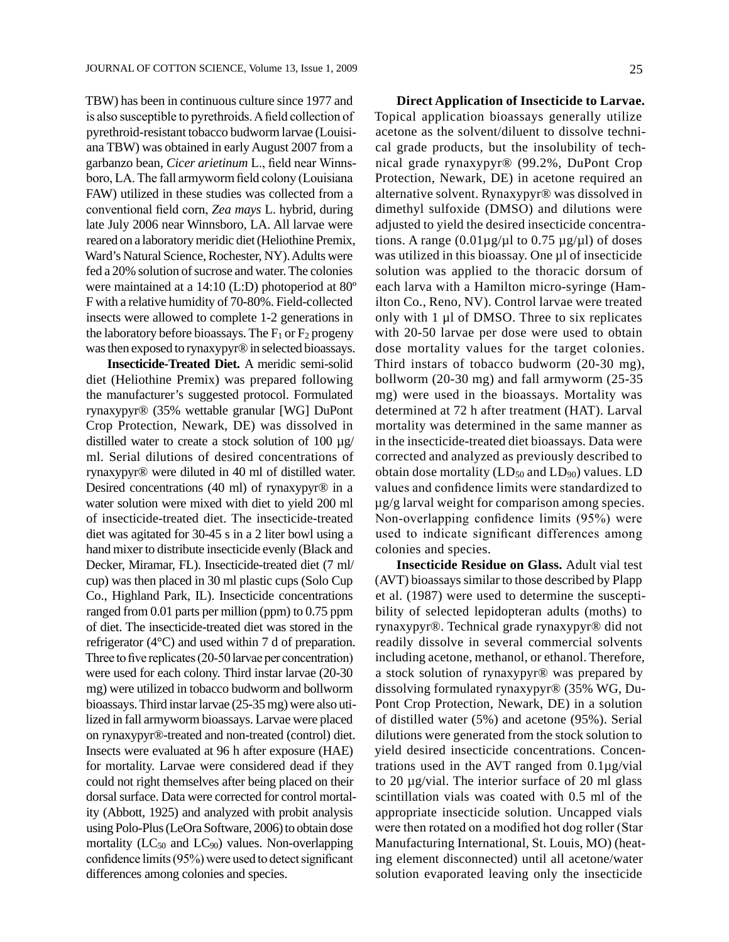TBW) has been in continuous culture since 1977 and is also susceptible to pyrethroids. A field collection of pyrethroid-resistant tobacco budworm larvae (Louisiana TBW) was obtained in early August 2007 from a garbanzo bean, *Cicer arietinum* L., field near Winnsboro, LA. The fall armyworm field colony (Louisiana FAW) utilized in these studies was collected from a conventional field corn, *Zea mays* L. hybrid, during late July 2006 near Winnsboro, LA. All larvae were reared on a laboratory meridic diet (Heliothine Premix, Ward's Natural Science, Rochester, NY). Adults were fed a 20% solution of sucrose and water. The colonies were maintained at a 14:10 (L:D) photoperiod at 80º F with a relative humidity of 70-80%. Field-collected insects were allowed to complete 1-2 generations in the laboratory before bioassays. The  $F_1$  or  $F_2$  progeny was then exposed to rynaxypyr® in selected bioassays.

**Insecticide-Treated Diet.** A meridic semi-solid diet (Heliothine Premix) was prepared following the manufacturer's suggested protocol. Formulated rynaxypyr® (35% wettable granular [WG] DuPont Crop Protection, Newark, DE) was dissolved in distilled water to create a stock solution of 100  $\mu$ g/ ml. Serial dilutions of desired concentrations of rynaxypyr® were diluted in 40 ml of distilled water. Desired concentrations (40 ml) of rynaxypyr® in a water solution were mixed with diet to yield 200 ml of insecticide-treated diet. The insecticide-treated diet was agitated for 30-45 s in a 2 liter bowl using a hand mixer to distribute insecticide evenly (Black and Decker, Miramar, FL). Insecticide-treated diet (7 ml/ cup) was then placed in 30 ml plastic cups (Solo Cup Co., Highland Park, IL). Insecticide concentrations ranged from 0.01 parts per million (ppm) to 0.75 ppm of diet. The insecticide-treated diet was stored in the refrigerator (4°C) and used within 7 d of preparation. Three to five replicates (20-50 larvae per concentration) were used for each colony. Third instar larvae (20-30 mg) were utilized in tobacco budworm and bollworm bioassays. Third instar larvae (25-35 mg) were also utilized in fall armyworm bioassays. Larvae were placed on rynaxypyr®-treated and non-treated (control) diet. Insects were evaluated at 96 h after exposure (HAE) for mortality. Larvae were considered dead if they could not right themselves after being placed on their dorsal surface. Data were corrected for control mortality (Abbott, 1925) and analyzed with probit analysis using Polo-Plus (LeOra Software, 2006) to obtain dose mortality ( $LC_{50}$  and  $LC_{90}$ ) values. Non-overlapping confidence limits (95%) were used to detect significant differences among colonies and species.

**Direct Application of Insecticide to Larvae.**  Topical application bioassays generally utilize acetone as the solvent/diluent to dissolve technical grade products, but the insolubility of technical grade rynaxypyr® (99.2%, DuPont Crop Protection, Newark, DE) in acetone required an alternative solvent. Rynaxypyr® was dissolved in dimethyl sulfoxide (DMSO) and dilutions were adjusted to yield the desired insecticide concentrations. A range  $(0.01\mu\text{g}/\mu\text{l}$  to  $0.75\mu\text{g}/\mu\text{l}$ ) of doses was utilized in this bioassay. One µl of insecticide solution was applied to the thoracic dorsum of each larva with a Hamilton micro-syringe (Hamilton Co., Reno, NV). Control larvae were treated only with 1 µl of DMSO. Three to six replicates with 20-50 larvae per dose were used to obtain dose mortality values for the target colonies. Third instars of tobacco budworm (20-30 mg), bollworm (20-30 mg) and fall armyworm (25-35 mg) were used in the bioassays. Mortality was determined at 72 h after treatment (HAT). Larval mortality was determined in the same manner as in the insecticide-treated diet bioassays. Data were corrected and analyzed as previously described to obtain dose mortality  $(LD_{50}$  and  $LD_{90})$  values. LD values and confidence limits were standardized to µg/g larval weight for comparison among species. Non-overlapping confidence limits (95%) were used to indicate significant differences among colonies and species.

**Insecticide Residue on Glass.** Adult vial test (AVT) bioassays similar to those described by Plapp et al. (1987) were used to determine the susceptibility of selected lepidopteran adults (moths) to rynaxypyr®. Technical grade rynaxypyr® did not readily dissolve in several commercial solvents including acetone, methanol, or ethanol. Therefore, a stock solution of rynaxypyr® was prepared by dissolving formulated rynaxypyr® (35% WG, Du-Pont Crop Protection, Newark, DE) in a solution of distilled water (5%) and acetone (95%). Serial dilutions were generated from the stock solution to yield desired insecticide concentrations. Concentrations used in the AVT ranged from 0.1µg/vial to 20 µg/vial. The interior surface of 20 ml glass scintillation vials was coated with 0.5 ml of the appropriate insecticide solution. Uncapped vials were then rotated on a modified hot dog roller (Star Manufacturing International, St. Louis, MO) (heating element disconnected) until all acetone/water solution evaporated leaving only the insecticide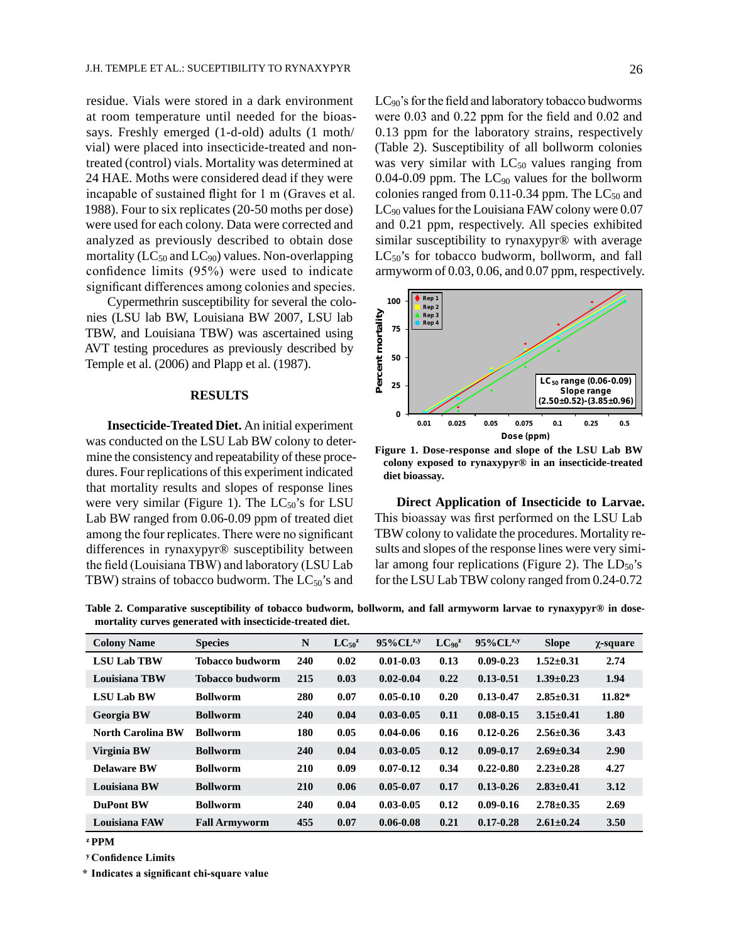residue. Vials were stored in a dark environment at room temperature until needed for the bioassays. Freshly emerged (1-d-old) adults (1 moth/ vial) were placed into insecticide-treated and nontreated (control) vials. Mortality was determined at 24 HAE. Moths were considered dead if they were incapable of sustained flight for 1 m (Graves et al. 1988). Four to six replicates (20-50 moths per dose) were used for each colony. Data were corrected and analyzed as previously described to obtain dose mortality ( $LC_{50}$  and  $LC_{90}$ ) values. Non-overlapping confidence limits (95%) were used to indicate significant differences among colonies and species.

Cypermethrin susceptibility for several the colonies (LSU lab BW, Louisiana BW 2007, LSU lab TBW, and Louisiana TBW) was ascertained using AVT testing procedures as previously described by Temple et al. (2006) and Plapp et al. (1987).

#### **Results**

**Insecticide-Treated Diet.** An initial experiment was conducted on the LSU Lab BW colony to determine the consistency and repeatability of these procedures. Four replications of this experiment indicated that mortality results and slopes of response lines were very similar (Figure 1). The  $LC_{50}$ 's for LSU Lab BW ranged from 0.06-0.09 ppm of treated diet among the four replicates. There were no significant differences in rynaxypyr® susceptibility between the field (Louisiana TBW) and laboratory (LSU Lab TBW) strains of tobacco budworm. The  $LC_{50}$ 's and

LC<sub>90</sub>'s for the field and laboratory tobacco budworms were 0.03 and 0.22 ppm for the field and 0.02 and 0.13 ppm for the laboratory strains, respectively (Table 2). Susceptibility of all bollworm colonies was very similar with  $LC_{50}$  values ranging from 0.04-0.09 ppm. The  $LC_{90}$  values for the bollworm colonies ranged from  $0.11$ -0.34 ppm. The  $LC_{50}$  and LC90 values for the Louisiana FAW colony were 0.07 and 0.21 ppm, respectively. All species exhibited similar susceptibility to rynaxypyr® with average  $LC_{50}$ 's for tobacco budworm, bollworm, and fall armyworm of 0.03, 0.06, and 0.07 ppm, respectively.



**Figure 1. Dose-response and slope of the LSU Lab BW colony exposed to rynaxypyr® in an insecticide-treated diet bioassay.**

**Direct Application of Insecticide to Larvae.**  This bioassay was first performed on the LSU Lab TBW colony to validate the procedures. Mortality results and slopes of the response lines were very similar among four replications (Figure 2). The  $LD_{50}$ 's for the LSU Lab TBW colony ranged from 0.24-0.72

**Table 2. Comparative susceptibility of tobacco budworm, bollworm, and fall armyworm larvae to rynaxypyr® in dosemortality curves generated with insecticide-treated diet.**

| <b>Colony Name</b>       | <b>Species</b>         | N          | $LC_{50}^z$ | 95%CL <sup>z,y</sup> | LC <sub>90</sub> <sup>z</sup> | $95\%$ CL <sup>z,y</sup> | <b>Slope</b>    | $\chi$ -square |
|--------------------------|------------------------|------------|-------------|----------------------|-------------------------------|--------------------------|-----------------|----------------|
| <b>LSU Lab TBW</b>       | <b>Tobacco budworm</b> | 240        | 0.02        | $0.01 - 0.03$        | 0.13                          | $0.09 - 0.23$            | $1.52 \pm 0.31$ | 2.74           |
| <b>Louisiana TBW</b>     | <b>Tobacco budworm</b> | 215        | 0.03        | $0.02 - 0.04$        | 0.22                          | $0.13 - 0.51$            | $1.39 \pm 0.23$ | 1.94           |
| <b>LSU Lab BW</b>        | <b>Bollworm</b>        | 280        | 0.07        | $0.05 - 0.10$        | 0.20                          | $0.13 - 0.47$            | $2.85 \pm 0.31$ | $11.82*$       |
| <b>Georgia BW</b>        | <b>Bollworm</b>        | <b>240</b> | 0.04        | $0.03 - 0.05$        | 0.11                          | $0.08 - 0.15$            | $3.15 \pm 0.41$ | 1.80           |
| <b>North Carolina BW</b> | <b>Bollworm</b>        | 180        | 0.05        | $0.04 - 0.06$        | 0.16                          | $0.12 - 0.26$            | $2.56 \pm 0.36$ | 3.43           |
| Virginia BW              | <b>Bollworm</b>        | <b>240</b> | 0.04        | $0.03 - 0.05$        | 0.12                          | $0.09 - 0.17$            | $2.69 \pm 0.34$ | 2.90           |
| <b>Delaware BW</b>       | <b>Bollworm</b>        | 210        | 0.09        | $0.07 - 0.12$        | 0.34                          | $0.22 - 0.80$            | $2.23 \pm 0.28$ | 4.27           |
| <b>Louisiana BW</b>      | <b>Bollworm</b>        | <b>210</b> | 0.06        | $0.05 - 0.07$        | 0.17                          | $0.13 - 0.26$            | $2.83 \pm 0.41$ | 3.12           |
| <b>DuPont BW</b>         | <b>Bollworm</b>        | <b>240</b> | 0.04        | $0.03 - 0.05$        | 0.12                          | $0.09 - 0.16$            | $2.78 \pm 0.35$ | 2.69           |
| <b>Louisiana FAW</b>     | <b>Fall Armyworm</b>   | 455        | 0.07        | $0.06 - 0.08$        | 0.21                          | $0.17 - 0.28$            | $2.61 \pm 0.24$ | 3.50           |

**<sup>z</sup> PPM**

**<sup>y</sup> Confidence Limits**

**\* Indicates a significant chi-square value**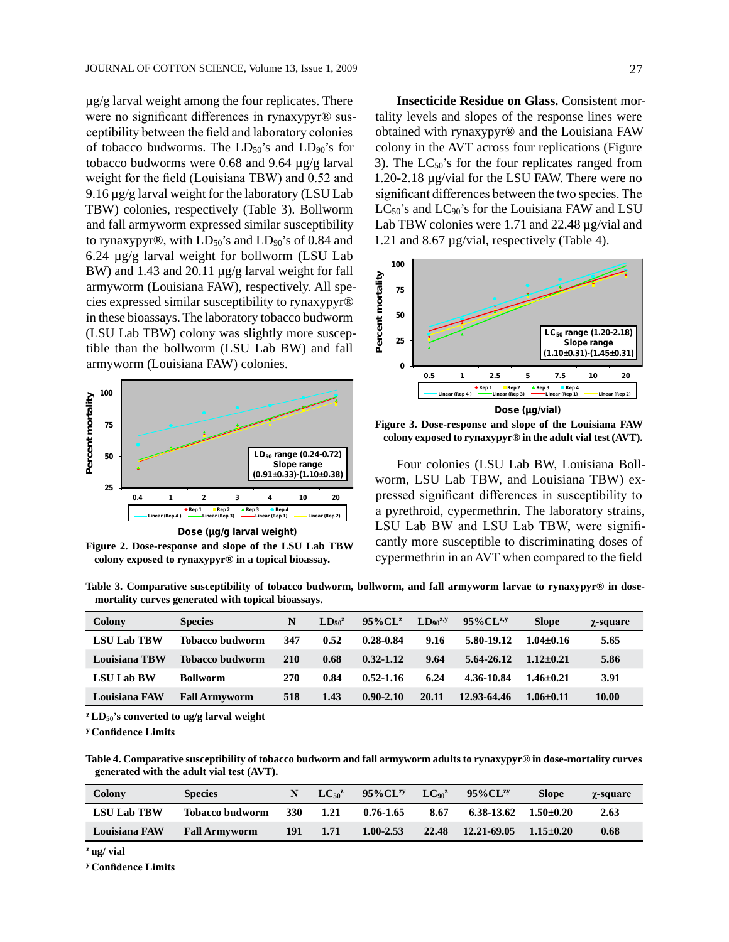$\mu$ g/g larval weight among the four replicates. There were no significant differences in rynaxypyr® susceptibility between the field and laboratory colonies of tobacco budworms. The  $LD_{50}$ 's and  $LD_{90}$ 's for tobacco budworms were 0.68 and 9.64 µg/g larval weight for the field (Louisiana TBW) and 0.52 and 9.16 µg/g larval weight for the laboratory (LSU Lab TBW) colonies, respectively (Table 3). Bollworm and fall armyworm expressed similar susceptibility to rynaxypyr $\circledR$ , with  $LD_{50}$ 's and  $LD_{90}$ 's of 0.84 and 6.24 µg/g larval weight for bollworm (LSU Lab BW) and 1.43 and 20.11  $\mu$ g/g larval weight for fall armyworm (Louisiana FAW), respectively. All species expressed similar susceptibility to rynaxypyr® in these bioassays. The laboratory tobacco budworm (LSU Lab TBW) colony was slightly more susceptible than the bollworm (LSU Lab BW) and fall armyworm (Louisiana FAW) colonies.



**Figure 2. Dose-response and slope of the LSU Lab TB W colony exposed to rynaxypyr® in a topical bioassay.**

**Insecticide Residue on Glass.** Consistent mortality levels and slopes of the response lines were obtained with rynaxypyr® and the Louisiana FAW colony in the AVT across four replications (Figure 3). The  $LC_{50}$ 's for the four replicates ranged from 1.20-2.18 µg/vial for the LSU FAW. There were no significant differences between the two species. The LC<sub>50</sub>'s and LC<sub>90</sub>'s for the Louisiana FAW and LSU Lab TBW colonies were 1.71 and 22.48  $\mu$ g/vial and 1.21 and 8.67 µg/vial, respectively (Table 4).



**Figure 3. Dose-response and slope of the Louisiana FAW colony exposed to rynaxypyr® in the adult vial test (AVT).**

Four colonies (LSU Lab BW, Louisiana Bollworm, LSU Lab TBW, and Louisiana TBW) expressed significant differences in susceptibility to a pyrethroid, cypermethrin. The laboratory strains, LSU Lab BW and LSU Lab TBW, were significantly more susceptible to discriminating doses of cypermethrin in an AVT when compared to the field

**Table 3. Comparative susceptibility of tobacco budworm, bollworm, and fall armyworm larvae to rynaxypyr® in dosemortality curves generated with topical bioassays.**

| Colony               | <b>Species</b>         | N   | $LD_{50}^z$ | $95\%$ CL <sup>z</sup> | LD <sub>on</sub> <sup>z,y</sup> | $95\%$ CL <sup>z,y</sup> | <b>Slope</b>  | $\chi$ -square |
|----------------------|------------------------|-----|-------------|------------------------|---------------------------------|--------------------------|---------------|----------------|
| <b>LSU Lab TBW</b>   | Tobacco budworm        | 347 | 0.52        | 0.28-0.84              | 9.16                            | 5.80-19.12               | $1.04 + 0.16$ | 5.65           |
| <b>Louisiana TBW</b> | <b>Tobacco budworm</b> | 210 | 0.68        | $0.32 - 1.12$          | 9.64                            | $5.64 - 26.12$           | $1.12 + 0.21$ | 5.86           |
| <b>LSU Lab BW</b>    | <b>Bollworm</b>        | 270 | 0.84        | $0.52 - 1.16$          | 6.24                            | 4.36-10.84               | $1.46 + 0.21$ | 3.91           |
| <b>Louisiana FAW</b> | <b>Fall Armyworm</b>   | 518 | 1.43        | $0.90 - 2.10$          | 20.11                           | 12.93-64.46              | $1.06 + 0.11$ | 10.00          |

**<sup>z</sup> LD50's converted to ug/g larval weight**

**<sup>y</sup> Confidence Limits**

**Table 4. Comparative susceptibility of tobacco budworm and fall armyworm adults to rynaxypyr® in dose-mortality curves generated with the adult vial test (AVT).**

| Colony             | <b>Species</b>       |            | $LC_{50}^z$ | $95\%$ CL <sup>zy</sup> | LC <sub>90</sub> <sup>Z</sup> | $95\%$ CL <sup>zy</sup> | <b>Slope</b>  | γ-square |
|--------------------|----------------------|------------|-------------|-------------------------|-------------------------------|-------------------------|---------------|----------|
| <b>LSU Lab TBW</b> | Tobacco budworm      | <b>330</b> | 1.21        | $0.76 - 1.65$           | 8.67                          | 6.38-13.62              | $1.50\pm0.20$ | 2.63     |
| Louisiana FAW      | <b>Fall Armyworm</b> | 191        | 1.71        | $1.00 - 2.53$           | 22.48                         | 12.21-69.05             | $1.15 + 0.20$ | 0.68     |

**<sup>z</sup> ug/ vial**

**<sup>y</sup> Confidence Limits**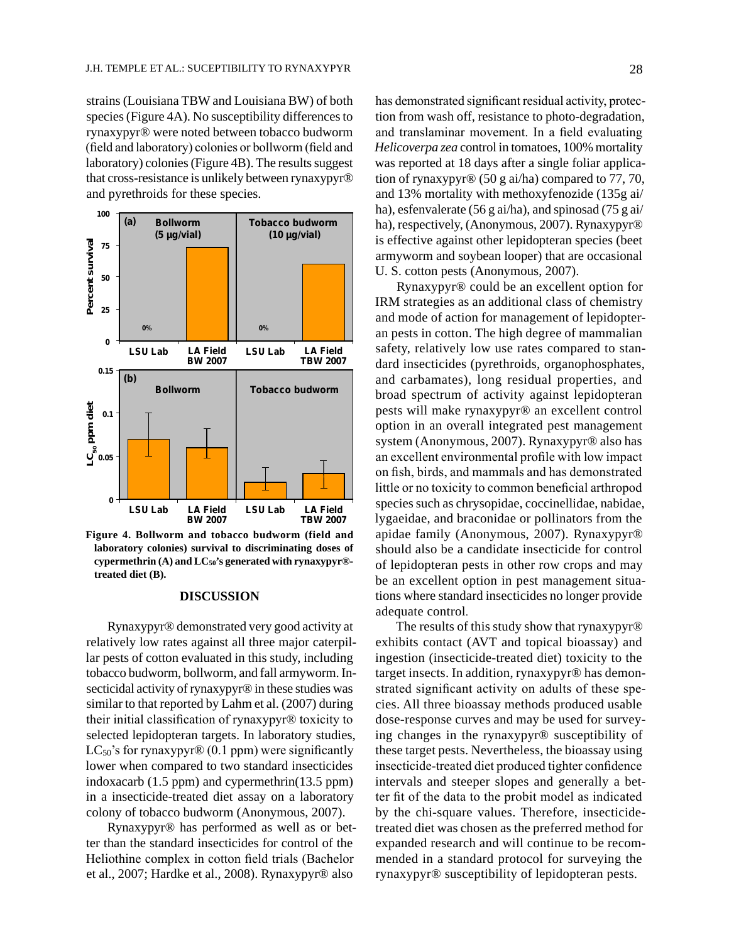strains (Louisiana TBW and Louisiana BW) of both species (Figure 4A). No susceptibility differences to rynaxypyr® were noted between tobacco budworm (field and laboratory) colonies or bollworm (field and laboratory) colonies (Figure 4B). The results suggest that cross-resistance is unlikely between rynaxypyr® and pyrethroids for these species.



**Figure 4. Bollworm and tobacco budworm (field and laboratory colonies) survival to discriminating doses of cypermethrin (A) and LC50's generated with rynaxypyr® treated diet (B).**

#### **Discussion**

Rynaxypyr® demonstrated very good activity at relatively low rates against all three major caterpillar pests of cotton evaluated in this study, including tobacco budworm, bollworm, and fall armyworm. Insecticidal activity of rynaxypyr<sup>®</sup> in these studies was similar to that reported by Lahm et al. (2007) during their initial classification of rynaxypyr® toxicity to selected lepidopteran targets. In laboratory studies,  $LC_{50}$ 's for rynaxypyr $\mathcal{D}(0.1$  ppm) were significantly lower when compared to two standard insecticides indoxacarb (1.5 ppm) and cypermethrin(13.5 ppm) in a insecticide-treated diet assay on a laboratory colony of tobacco budworm (Anonymous, 2007).

Rynaxypyr® has performed as well as or better than the standard insecticides for control of the Heliothine complex in cotton field trials (Bachelor et al., 2007; Hardke et al., 2008). Rynaxypyr® also

has demonstrated significant residual activity, protection from wash off, resistance to photo-degradation, and translaminar movement. In a field evaluating *Helicoverpa zea* control in tomatoes, 100% mortality was reported at 18 days after a single foliar application of rynaxypyr® (50 g ai/ha) compared to 77, 70, and 13% mortality with methoxyfenozide (135g ai/ ha), esfenvalerate (56 g ai/ha), and spinosad (75 g ai/ ha), respectively, (Anonymous, 2007). Rynaxypyr® is effective against other lepidopteran species (beet armyworm and soybean looper) that are occasional U. S. cotton pests (Anonymous, 2007).

Rynaxypyr® could be an excellent option for IRM strategies as an additional class of chemistry and mode of action for management of lepidopteran pests in cotton. The high degree of mammalian safety, relatively low use rates compared to standard insecticides (pyrethroids, organophosphates, and carbamates), long residual properties, and broad spectrum of activity against lepidopteran pests will make rynaxypyr® an excellent control option in an overall integrated pest management system (Anonymous, 2007). Rynaxypyr® also has an excellent environmental profile with low impact on fish, birds, and mammals and has demonstrated little or no toxicity to common beneficial arthropod species such as chrysopidae, coccinellidae, nabidae, lygaeidae, and braconidae or pollinators from the apidae family (Anonymous, 2007). Rynaxypyr® should also be a candidate insecticide for control of lepidopteran pests in other row crops and may be an excellent option in pest management situations where standard insecticides no longer provide adequate control.

The results of this study show that rynaxypyr® exhibits contact (AVT and topical bioassay) and ingestion (insecticide-treated diet) toxicity to the target insects. In addition, rynaxypyr® has demonstrated significant activity on adults of these species. All three bioassay methods produced usable dose-response curves and may be used for surveying changes in the rynaxypyr® susceptibility of these target pests. Nevertheless, the bioassay using insecticide-treated diet produced tighter confidence intervals and steeper slopes and generally a better fit of the data to the probit model as indicated by the chi-square values. Therefore, insecticidetreated diet was chosen as the preferred method for expanded research and will continue to be recommended in a standard protocol for surveying the rynaxypyr® susceptibility of lepidopteran pests.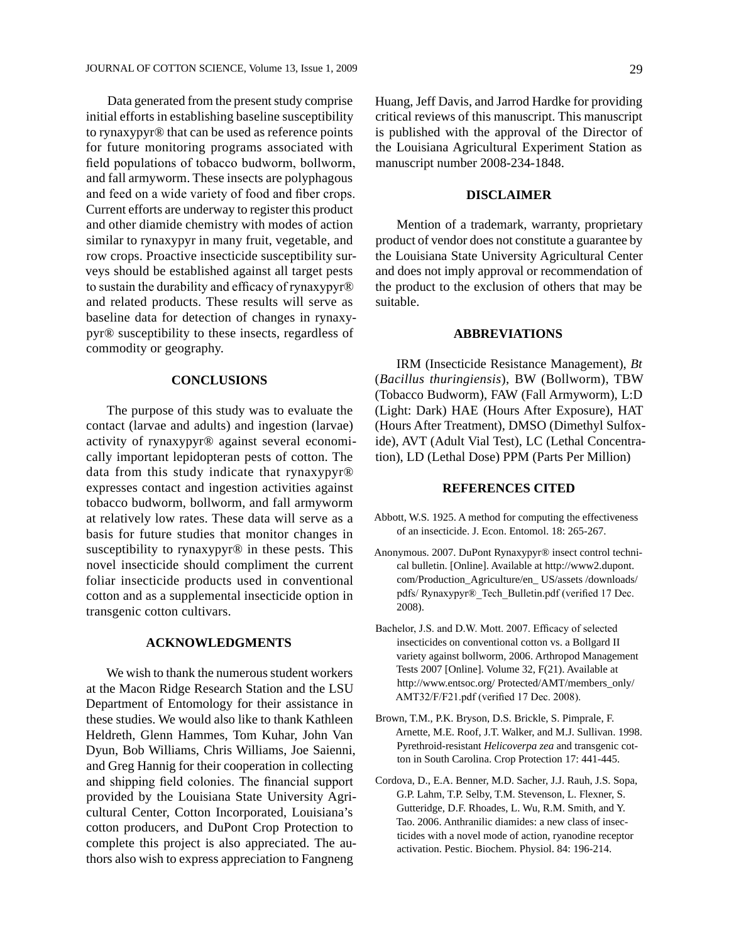Data generated from the present study comprise initial efforts in establishing baseline susceptibility to rynaxypyr® that can be used as reference points for future monitoring programs associated with field populations of tobacco budworm, bollworm, and fall armyworm. These insects are polyphagous and feed on a wide variety of food and fiber crops. Current efforts are underway to register this product and other diamide chemistry with modes of action similar to rynaxypyr in many fruit, vegetable, and row crops. Proactive insecticide susceptibility surveys should be established against all target pests to sustain the durability and efficacy of rynaxypyr® and related products. These results will serve as baseline data for detection of changes in rynaxypyr® susceptibility to these insects, regardless of commodity or geography.

#### **CONCLUSIONS**

The purpose of this study was to evaluate the contact (larvae and adults) and ingestion (larvae) activity of rynaxypyr® against several economically important lepidopteran pests of cotton. The data from this study indicate that rynaxypyr® expresses contact and ingestion activities against tobacco budworm, bollworm, and fall armyworm at relatively low rates. These data will serve as a basis for future studies that monitor changes in susceptibility to rynaxypyr<sup>®</sup> in these pests. This novel insecticide should compliment the current foliar insecticide products used in conventional cotton and as a supplemental insecticide option in transgenic cotton cultivars.

#### **AcknowledgmentS**

We wish to thank the numerous student workers at the Macon Ridge Research Station and the LSU Department of Entomology for their assistance in these studies. We would also like to thank Kathleen Heldreth, Glenn Hammes, Tom Kuhar, John Van Dyun, Bob Williams, Chris Williams, Joe Saienni, and Greg Hannig for their cooperation in collecting and shipping field colonies. The financial support provided by the Louisiana State University Agricultural Center, Cotton Incorporated, Louisiana's cotton producers, and DuPont Crop Protection to complete this project is also appreciated. The authors also wish to express appreciation to Fangneng

Huang, Jeff Davis, and Jarrod Hardke for providing critical reviews of this manuscript. This manuscript is published with the approval of the Director of the Louisiana Agricultural Experiment Station as manuscript number 2008-234-1848.

#### **DISCLAIMER**

Mention of a trademark, warranty, proprietary product of vendor does not constitute a guarantee by the Louisiana State University Agricultural Center and does not imply approval or recommendation of the product to the exclusion of others that may be suitable.

## **ABBREVIATIONS**

IRM (Insecticide Resistance Management), *Bt* (*Bacillus thuringiensis*), BW (Bollworm), TBW (Tobacco Budworm), FAW (Fall Armyworm), L:D (Light: Dark) HAE (Hours After Exposure), HAT (Hours After Treatment), DMSO (Dimethyl Sulfoxide), AVT (Adult Vial Test), LC (Lethal Concentration), LD (Lethal Dose) PPM (Parts Per Million)

### **References Cited**

- Abbott, W.S. 1925. A method for computing the effectiveness of an insecticide. J. Econ. Entomol. 18: 265-267.
- Anonymous. 2007. DuPont Rynaxypyr® insect control technical bulletin. [Online]. Available at http://www2.dupont. com/Production\_Agriculture/en\_ US/assets /downloads/ pdfs/ Rynaxypyr®\_Tech\_Bulletin.pdf (verified 17 Dec. 2008).
- Bachelor, J.S. and D.W. Mott. 2007. Efficacy of selected insecticides on conventional cotton vs. a Bollgard II variety against bollworm, 2006. Arthropod Management Tests 2007 [Online]. Volume 32, F(21). Available at http://www.entsoc.org/ Protected/AMT/members\_only/ AMT32/F/F21.pdf (verified 17 Dec. 2008).
- Brown, T.M., P.K. Bryson, D.S. Brickle, S. Pimprale, F. Arnette, M.E. Roof, J.T. Walker, and M.J. Sullivan. 1998. Pyrethroid-resistant *Helicoverpa zea* and transgenic cotton in South Carolina. Crop Protection 17: 441-445.
- Cordova, D., E.A. Benner, M.D. Sacher, J.J. Rauh, J.S. Sopa, G.P. Lahm, T.P. Selby, T.M. Stevenson, L. Flexner, S. Gutteridge, D.F. Rhoades, L. Wu, R.M. Smith, and Y. Tao. 2006. Anthranilic diamides: a new class of insecticides with a novel mode of action, ryanodine receptor activation. Pestic. Biochem. Physiol. 84: 196-214.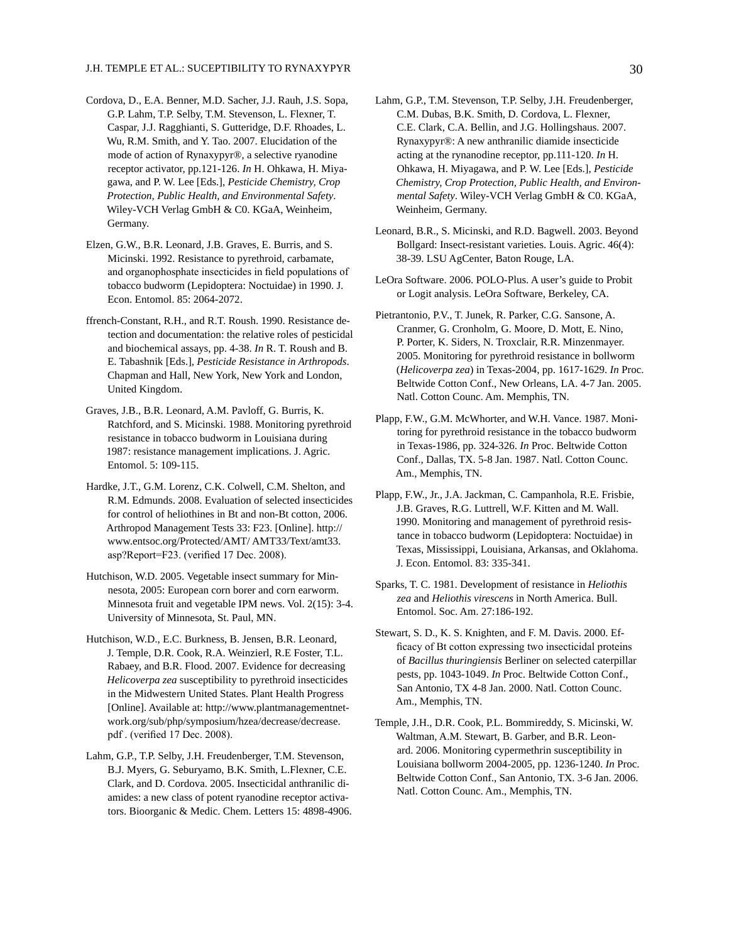- Cordova, D., E.A. Benner, M.D. Sacher, J.J. Rauh, J.S. Sopa, G.P. Lahm, T.P. Selby, T.M. Stevenson, L. Flexner, T. Caspar, J.J. Ragghianti, S. Gutteridge, D.F. Rhoades, L. Wu, R.M. Smith, and Y. Tao. 2007. Elucidation of the mode of action of Rynaxypyr®, a selective ryanodine receptor activator, pp.121-126. *In* H. Ohkawa, H. Miyagawa, and P. W. Lee [Eds.], *Pesticide Chemistry, Crop Protection, Public Health, and Environmental Safety*. Wiley-VCH Verlag GmbH & C0. KGaA, Weinheim, Germany.
- Elzen, G.W., B.R. Leonard, J.B. Graves, E. Burris, and S. Micinski. 1992. Resistance to pyrethroid, carbamate, and organophosphate insecticides in field populations of tobacco budworm (Lepidoptera: Noctuidae) in 1990. J. Econ. Entomol. 85: 2064-2072.
- ffrench-Constant, R.H., and R.T. Roush. 1990. Resistance detection and documentation: the relative roles of pesticidal and biochemical assays, pp. 4-38. *In* R. T. Roush and B. E. Tabashnik [Eds.], *Pesticide Resistance in Arthropods*. Chapman and Hall, New York, New York and London, United Kingdom.
- Graves, J.B., B.R. Leonard, A.M. Pavloff, G. Burris, K. Ratchford, and S. Micinski. 1988. Monitoring pyrethroid resistance in tobacco budworm in Louisiana during 1987: resistance management implications. J. Agric. Entomol. 5: 109-115.
- Hardke, J.T., G.M. Lorenz, C.K. Colwell, C.M. Shelton, and R.M. Edmunds. 2008. Evaluation of selected insecticides for control of heliothines in Bt and non-Bt cotton, 2006. Arthropod Management Tests 33: F23. [Online]. http:// www.entsoc.org/Protected/AMT/ AMT33/Text/amt33. asp?Report=F23. (verified 17 Dec. 2008).
- Hutchison, W.D. 2005. Vegetable insect summary for Minnesota, 2005: European corn borer and corn earworm. Minnesota fruit and vegetable IPM news. Vol. 2(15): 3-4. University of Minnesota, St. Paul, MN.
- Hutchison, W.D., E.C. Burkness, B. Jensen, B.R. Leonard, J. Temple, D.R. Cook, R.A. Weinzierl, R.E Foster, T.L. Rabaey, and B.R. Flood. 2007. Evidence for decreasing *Helicoverpa zea* susceptibility to pyrethroid insecticides in the Midwestern United States. Plant Health Progress [Online]. Available at: http://www.plantmanagementnetwork.org/sub/php/symposium/hzea/decrease/decrease. pdf . (verified 17 Dec. 2008).
- Lahm, G.P., T.P. Selby, J.H. Freudenberger, T.M. Stevenson, B.J. Myers, G. Seburyamo, B.K. Smith, L.Flexner, C.E. Clark, and D. Cordova. 2005. Insecticidal anthranilic diamides: a new class of potent ryanodine receptor activators. Bioorganic & Medic. Chem. Letters 15: 4898-4906.
- Lahm, G.P., T.M. Stevenson, T.P. Selby, J.H. Freudenberger, C.M. Dubas, B.K. Smith, D. Cordova, L. Flexner, C.E. Clark, C.A. Bellin, and J.G. Hollingshaus. 2007. Rynaxypyr®: A new anthranilic diamide insecticide acting at the rynanodine receptor, pp.111-120. *In* H. Ohkawa, H. Miyagawa, and P. W. Lee [Eds.], *Pesticide Chemistry, Crop Protection, Public Health, and Environmental Safety*. Wiley-VCH Verlag GmbH & C0. KGaA, Weinheim, Germany.
- Leonard, B.R., S. Micinski, and R.D. Bagwell. 2003. Beyond Bollgard: Insect-resistant varieties. Louis. Agric. 46(4): 38-39. LSU AgCenter, Baton Rouge, LA.
- LeOra Software. 2006. POLO-Plus. A user's guide to Probit or Logit analysis. LeOra Software, Berkeley, CA.
- Pietrantonio, P.V., T. Junek, R. Parker, C.G. Sansone, A. Cranmer, G. Cronholm, G. Moore, D. Mott, E. Nino, P. Porter, K. Siders, N. Troxclair, R.R. Minzenmayer. 2005. Monitoring for pyrethroid resistance in bollworm (*Helicoverpa zea*) in Texas-2004, pp. 1617-1629. *In* Proc. Beltwide Cotton Conf., New Orleans, LA. 4-7 Jan. 2005. Natl. Cotton Counc. Am. Memphis, TN.
- Plapp, F.W., G.M. McWhorter, and W.H. Vance. 1987. Monitoring for pyrethroid resistance in the tobacco budworm in Texas-1986, pp. 324-326. *In* Proc. Beltwide Cotton Conf., Dallas, TX. 5-8 Jan. 1987. Natl. Cotton Counc. Am., Memphis, TN.
- Plapp, F.W., Jr., J.A. Jackman, C. Campanhola, R.E. Frisbie, J.B. Graves, R.G. Luttrell, W.F. Kitten and M. Wall. 1990. Monitoring and management of pyrethroid resistance in tobacco budworm (Lepidoptera: Noctuidae) in Texas, Mississippi, Louisiana, Arkansas, and Oklahoma. J. Econ. Entomol. 83: 335-341.
- Sparks, T. C. 1981. Development of resistance in *Heliothis zea* and *Heliothis virescens* in North America. Bull. Entomol. Soc. Am. 27:186-192.
- Stewart, S. D., K. S. Knighten, and F. M. Davis. 2000. Efficacy of Bt cotton expressing two insecticidal proteins of *Bacillus thuringiensis* Berliner on selected caterpillar pests, pp. 1043-1049. *In* Proc. Beltwide Cotton Conf., San Antonio, TX 4-8 Jan. 2000. Natl. Cotton Counc. Am., Memphis, TN.
- Temple, J.H., D.R. Cook, P.L. Bommireddy, S. Micinski, W. Waltman, A.M. Stewart, B. Garber, and B.R. Leonard. 2006. Monitoring cypermethrin susceptibility in Louisiana bollworm 2004-2005, pp. 1236-1240. *In* Proc. Beltwide Cotton Conf., San Antonio, TX. 3-6 Jan. 2006. Natl. Cotton Counc. Am., Memphis, TN.